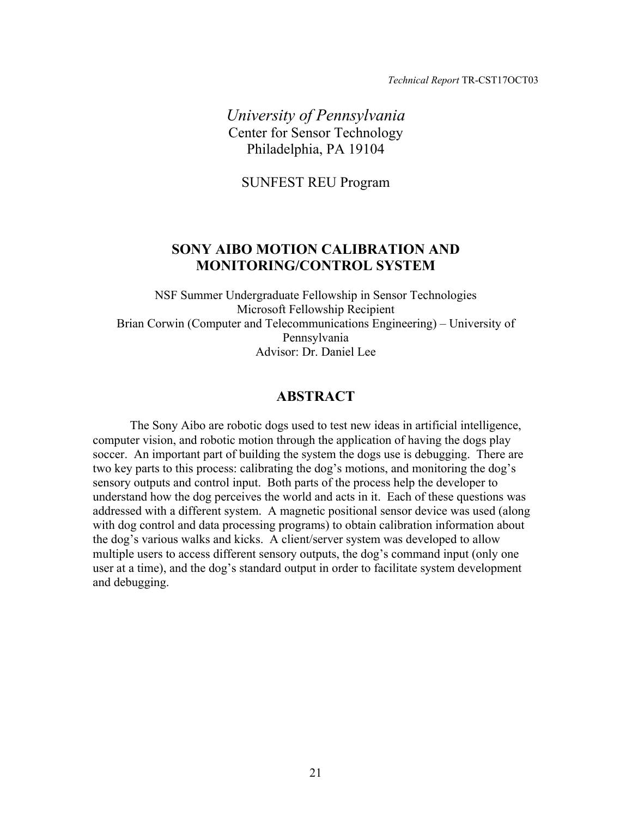*Technical Report* TR-CST17OCT03

*University of Pennsylvania*  Center for Sensor Technology Philadelphia, PA 19104

SUNFEST REU Program

# **SONY AIBO MOTION CALIBRATION AND MONITORING/CONTROL SYSTEM**

NSF Summer Undergraduate Fellowship in Sensor Technologies Microsoft Fellowship Recipient Brian Corwin (Computer and Telecommunications Engineering) – University of Pennsylvania Advisor: Dr. Daniel Lee

# **ABSTRACT**

The Sony Aibo are robotic dogs used to test new ideas in artificial intelligence, computer vision, and robotic motion through the application of having the dogs play soccer. An important part of building the system the dogs use is debugging. There are two key parts to this process: calibrating the dog's motions, and monitoring the dog's sensory outputs and control input. Both parts of the process help the developer to understand how the dog perceives the world and acts in it. Each of these questions was addressed with a different system. A magnetic positional sensor device was used (along with dog control and data processing programs) to obtain calibration information about the dog's various walks and kicks. A client/server system was developed to allow multiple users to access different sensory outputs, the dog's command input (only one user at a time), and the dog's standard output in order to facilitate system development and debugging.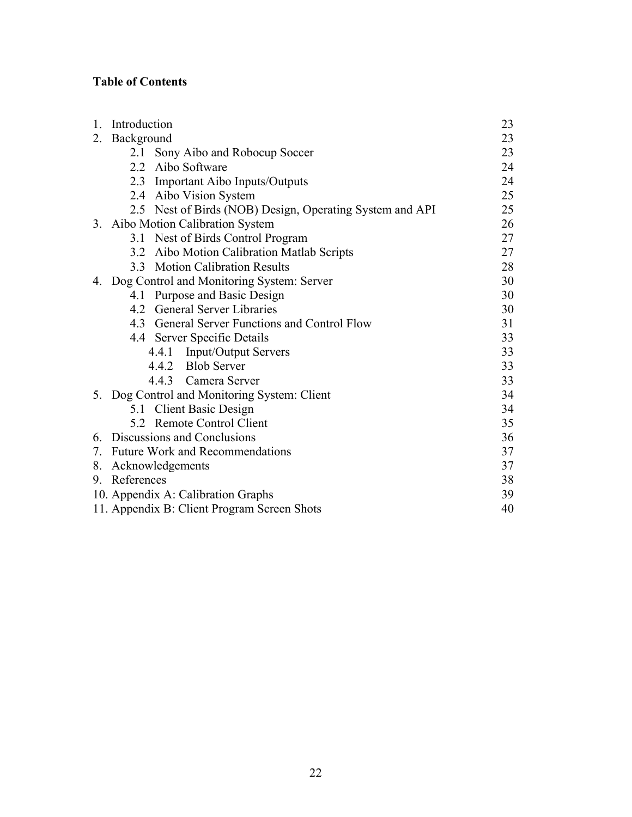# **Table of Contents**

| 1. | Introduction |                                                          | 23 |
|----|--------------|----------------------------------------------------------|----|
| 2. | Background   |                                                          | 23 |
|    | 2.1          | Sony Aibo and Robocup Soccer                             | 23 |
|    | 2.2          | Aibo Software                                            | 24 |
|    |              | 2.3 Important Aibo Inputs/Outputs                        | 24 |
|    |              | 2.4 Aibo Vision System                                   | 25 |
|    |              | 2.5 Nest of Birds (NOB) Design, Operating System and API | 25 |
|    |              | 3. Aibo Motion Calibration System                        | 26 |
|    |              | 3.1 Nest of Birds Control Program                        | 27 |
|    |              | 3.2 Aibo Motion Calibration Matlab Scripts               | 27 |
|    | 33           | <b>Motion Calibration Results</b>                        | 28 |
|    |              | 4. Dog Control and Monitoring System: Server             | 30 |
|    |              | 4.1 Purpose and Basic Design                             | 30 |
|    |              | 4.2 General Server Libraries                             | 30 |
|    |              | 4.3 General Server Functions and Control Flow            | 31 |
|    |              | 4.4 Server Specific Details                              | 33 |
|    |              | 4.4.1 Input/Output Servers                               | 33 |
|    |              | 4.4.2 Blob Server                                        | 33 |
|    |              | 4.4.3 Camera Server                                      | 33 |
|    |              | 5. Dog Control and Monitoring System: Client             | 34 |
|    |              | 5.1 Client Basic Design                                  | 34 |
|    |              | 5.2 Remote Control Client                                | 35 |
|    |              | 6. Discussions and Conclusions                           | 36 |
|    |              | 7. Future Work and Recommendations                       | 37 |
| 8. |              | Acknowledgements                                         | 37 |
| 9  | References   |                                                          | 38 |
|    |              | 10. Appendix A: Calibration Graphs                       | 39 |
|    |              | 11. Appendix B: Client Program Screen Shots              | 40 |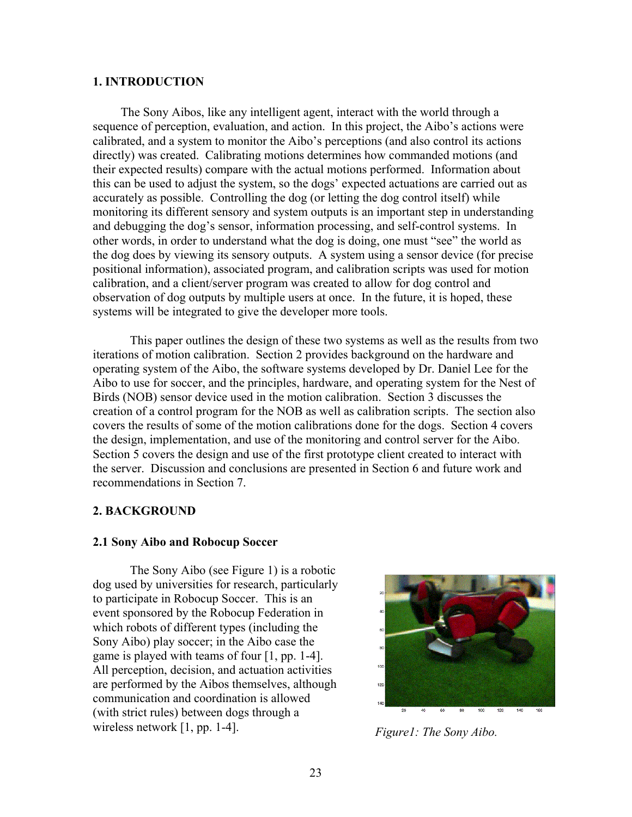#### **1. INTRODUCTION**

The Sony Aibos, like any intelligent agent, interact with the world through a sequence of perception, evaluation, and action. In this project, the Aibo's actions were calibrated, and a system to monitor the Aibo's perceptions (and also control its actions directly) was created. Calibrating motions determines how commanded motions (and their expected results) compare with the actual motions performed. Information about this can be used to adjust the system, so the dogs' expected actuations are carried out as accurately as possible. Controlling the dog (or letting the dog control itself) while monitoring its different sensory and system outputs is an important step in understanding and debugging the dog's sensor, information processing, and self-control systems. In other words, in order to understand what the dog is doing, one must "see" the world as the dog does by viewing its sensory outputs. A system using a sensor device (for precise positional information), associated program, and calibration scripts was used for motion calibration, and a client/server program was created to allow for dog control and observation of dog outputs by multiple users at once. In the future, it is hoped, these systems will be integrated to give the developer more tools.

 This paper outlines the design of these two systems as well as the results from two iterations of motion calibration. Section 2 provides background on the hardware and operating system of the Aibo, the software systems developed by Dr. Daniel Lee for the Aibo to use for soccer, and the principles, hardware, and operating system for the Nest of Birds (NOB) sensor device used in the motion calibration. Section 3 discusses the creation of a control program for the NOB as well as calibration scripts. The section also covers the results of some of the motion calibrations done for the dogs. Section 4 covers the design, implementation, and use of the monitoring and control server for the Aibo. Section 5 covers the design and use of the first prototype client created to interact with the server. Discussion and conclusions are presented in Section 6 and future work and recommendations in Section 7.

### **2. BACKGROUND**

#### **2.1 Sony Aibo and Robocup Soccer**

The Sony Aibo (see Figure 1) is a robotic dog used by universities for research, particularly to participate in Robocup Soccer. This is an event sponsored by the Robocup Federation in which robots of different types (including the Sony Aibo) play soccer; in the Aibo case the game is played with teams of four [1, pp. 1-4]. All perception, decision, and actuation activities are performed by the Aibos themselves, although communication and coordination is allowed (with strict rules) between dogs through a wireless network [1, pp. 1-4]. *Figure1: The Sony Aibo.* 

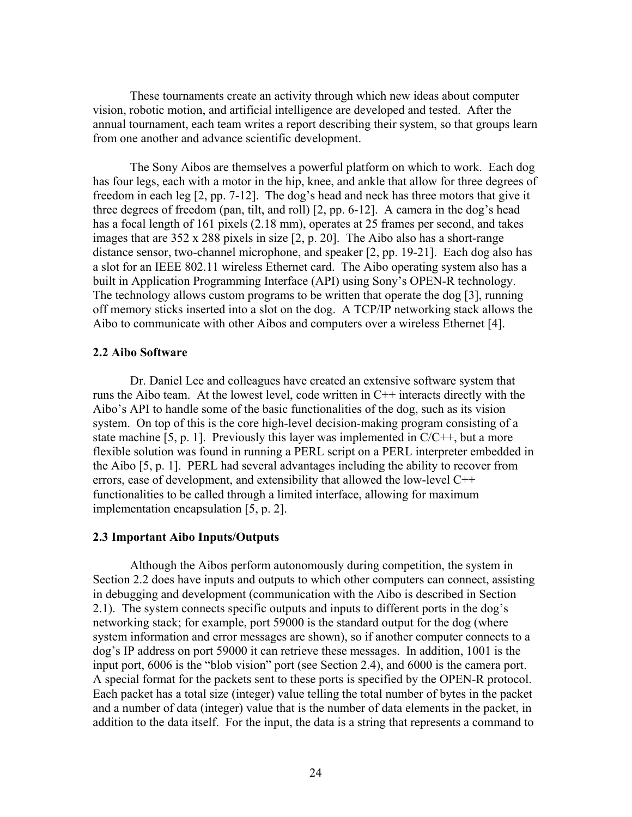These tournaments create an activity through which new ideas about computer vision, robotic motion, and artificial intelligence are developed and tested. After the annual tournament, each team writes a report describing their system, so that groups learn from one another and advance scientific development.

 The Sony Aibos are themselves a powerful platform on which to work. Each dog has four legs, each with a motor in the hip, knee, and ankle that allow for three degrees of freedom in each leg [2, pp. 7-12]. The dog's head and neck has three motors that give it three degrees of freedom (pan, tilt, and roll) [2, pp. 6-12]. A camera in the dog's head has a focal length of 161 pixels (2.18 mm), operates at 25 frames per second, and takes images that are 352 x 288 pixels in size [2, p. 20]. The Aibo also has a short-range distance sensor, two-channel microphone, and speaker [2, pp. 19-21]. Each dog also has a slot for an IEEE 802.11 wireless Ethernet card. The Aibo operating system also has a built in Application Programming Interface (API) using Sony's OPEN-R technology. The technology allows custom programs to be written that operate the dog [3], running off memory sticks inserted into a slot on the dog. A TCP/IP networking stack allows the Aibo to communicate with other Aibos and computers over a wireless Ethernet [4].

#### **2.2 Aibo Software**

Dr. Daniel Lee and colleagues have created an extensive software system that runs the Aibo team. At the lowest level, code written in C++ interacts directly with the Aibo's API to handle some of the basic functionalities of the dog, such as its vision system. On top of this is the core high-level decision-making program consisting of a state machine [5, p. 1]. Previously this layer was implemented in  $C/C++$ , but a more flexible solution was found in running a PERL script on a PERL interpreter embedded in the Aibo [5, p. 1]. PERL had several advantages including the ability to recover from errors, ease of development, and extensibility that allowed the low-level C++ functionalities to be called through a limited interface, allowing for maximum implementation encapsulation [5, p. 2].

#### **2.3 Important Aibo Inputs/Outputs**

Although the Aibos perform autonomously during competition, the system in Section 2.2 does have inputs and outputs to which other computers can connect, assisting in debugging and development (communication with the Aibo is described in Section 2.1). The system connects specific outputs and inputs to different ports in the dog's networking stack; for example, port 59000 is the standard output for the dog (where system information and error messages are shown), so if another computer connects to a dog's IP address on port 59000 it can retrieve these messages. In addition, 1001 is the input port, 6006 is the "blob vision" port (see Section 2.4), and 6000 is the camera port. A special format for the packets sent to these ports is specified by the OPEN-R protocol. Each packet has a total size (integer) value telling the total number of bytes in the packet and a number of data (integer) value that is the number of data elements in the packet, in addition to the data itself. For the input, the data is a string that represents a command to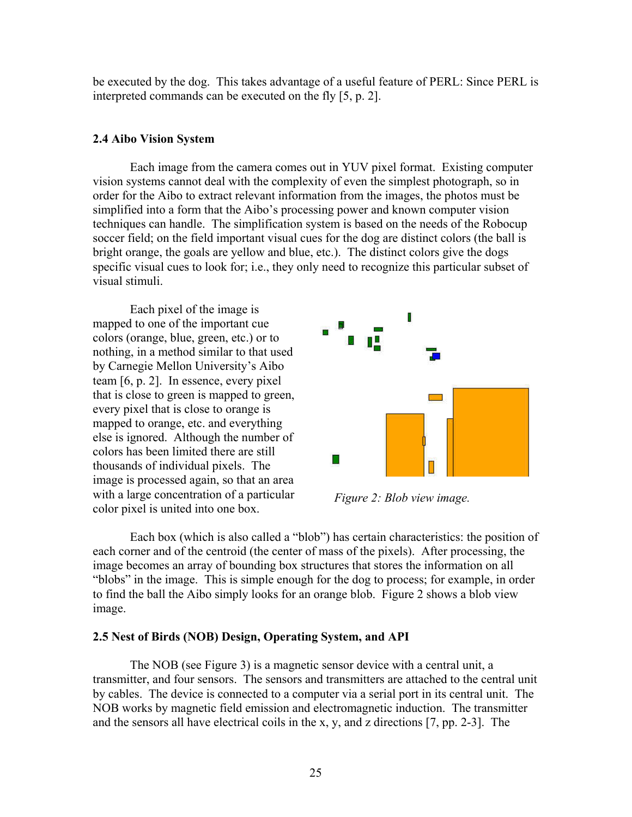be executed by the dog. This takes advantage of a useful feature of PERL: Since PERL is interpreted commands can be executed on the fly [5, p. 2].

#### **2.4 Aibo Vision System**

Each image from the camera comes out in YUV pixel format. Existing computer vision systems cannot deal with the complexity of even the simplest photograph, so in order for the Aibo to extract relevant information from the images, the photos must be simplified into a form that the Aibo's processing power and known computer vision techniques can handle. The simplification system is based on the needs of the Robocup soccer field; on the field important visual cues for the dog are distinct colors (the ball is bright orange, the goals are yellow and blue, etc.). The distinct colors give the dogs specific visual cues to look for; i.e., they only need to recognize this particular subset of visual stimuli.

Each pixel of the image is mapped to one of the important cue colors (orange, blue, green, etc.) or to nothing, in a method similar to that used by Carnegie Mellon University's Aibo team [6, p. 2]. In essence, every pixel that is close to green is mapped to green, every pixel that is close to orange is mapped to orange, etc. and everything else is ignored. Although the number of colors has been limited there are still thousands of individual pixels. The image is processed again, so that an area with a large concentration of a particular with a large concentration of a particular *Figure 2: Blob view image.* color pixel is united into one box.



Each box (which is also called a "blob") has certain characteristics: the position of each corner and of the centroid (the center of mass of the pixels). After processing, the image becomes an array of bounding box structures that stores the information on all "blobs" in the image. This is simple enough for the dog to process; for example, in order to find the ball the Aibo simply looks for an orange blob. Figure 2 shows a blob view image.

#### **2.5 Nest of Birds (NOB) Design, Operating System, and API**

 The NOB (see Figure 3) is a magnetic sensor device with a central unit, a transmitter, and four sensors. The sensors and transmitters are attached to the central unit by cables. The device is connected to a computer via a serial port in its central unit. The NOB works by magnetic field emission and electromagnetic induction. The transmitter and the sensors all have electrical coils in the x, y, and z directions [7, pp. 2-3]. The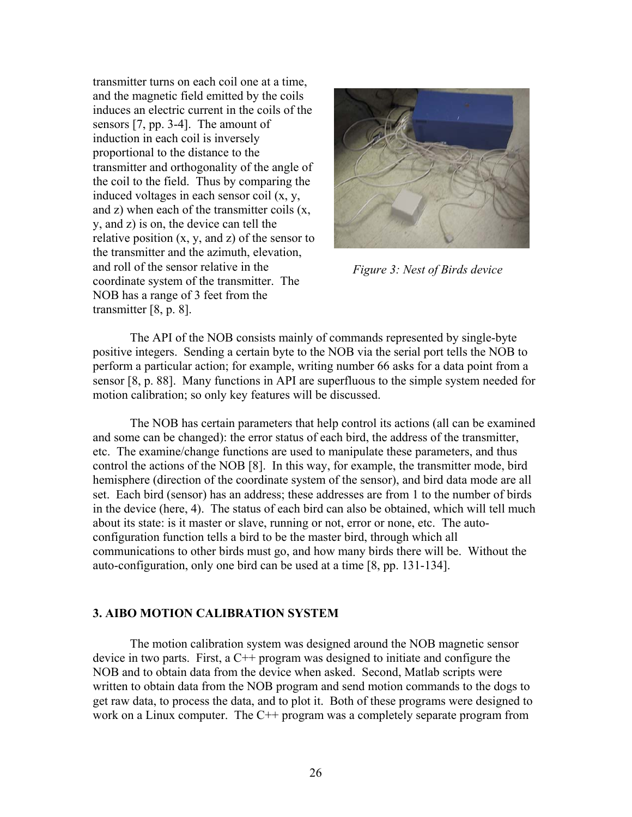transmitter turns on each coil one at a time, and the magnetic field emitted by the coils induces an electric current in the coils of the sensors [7, pp. 3-4]. The amount of induction in each coil is inversely proportional to the distance to the transmitter and orthogonality of the angle of the coil to the field. Thus by comparing the induced voltages in each sensor coil (x, y, and z) when each of the transmitter coils (x, y, and z) is on, the device can tell the relative position  $(x, y, and z)$  of the sensor to the transmitter and the azimuth, elevation, and roll of the sensor relative in the coordinate system of the transmitter. The NOB has a range of 3 feet from the transmitter [8, p. 8].



*Figure 3: Nest of Birds device*

The API of the NOB consists mainly of commands represented by single-byte positive integers. Sending a certain byte to the NOB via the serial port tells the NOB to perform a particular action; for example, writing number 66 asks for a data point from a sensor [8, p. 88]. Many functions in API are superfluous to the simple system needed for motion calibration; so only key features will be discussed.

The NOB has certain parameters that help control its actions (all can be examined and some can be changed): the error status of each bird, the address of the transmitter, etc. The examine/change functions are used to manipulate these parameters, and thus control the actions of the NOB [8]. In this way, for example, the transmitter mode, bird hemisphere (direction of the coordinate system of the sensor), and bird data mode are all set. Each bird (sensor) has an address; these addresses are from 1 to the number of birds in the device (here, 4). The status of each bird can also be obtained, which will tell much about its state: is it master or slave, running or not, error or none, etc. The autoconfiguration function tells a bird to be the master bird, through which all communications to other birds must go, and how many birds there will be. Without the auto-configuration, only one bird can be used at a time [8, pp. 131-134].

# **3. AIBO MOTION CALIBRATION SYSTEM**

The motion calibration system was designed around the NOB magnetic sensor device in two parts. First, a C++ program was designed to initiate and configure the NOB and to obtain data from the device when asked. Second, Matlab scripts were written to obtain data from the NOB program and send motion commands to the dogs to get raw data, to process the data, and to plot it. Both of these programs were designed to work on a Linux computer. The C<sup>++</sup> program was a completely separate program from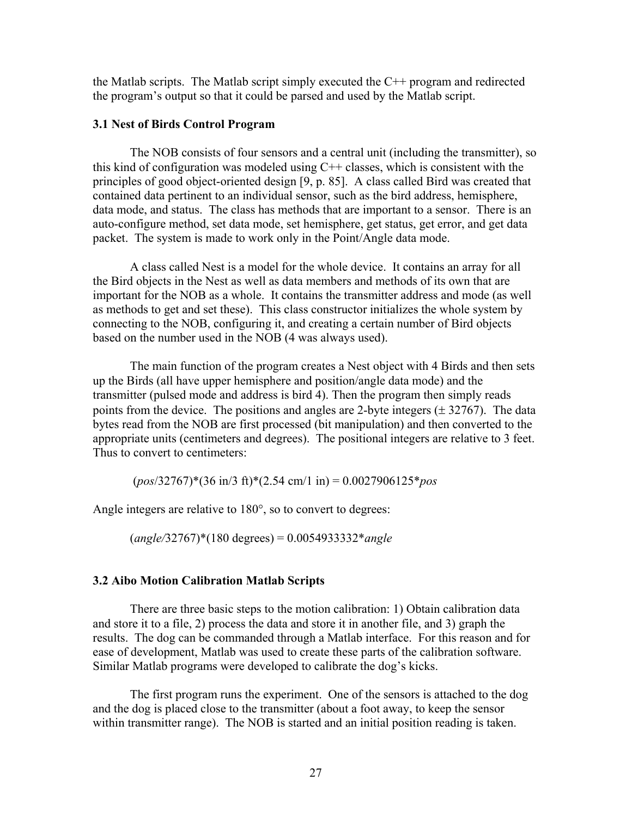the Matlab scripts. The Matlab script simply executed the C++ program and redirected the program's output so that it could be parsed and used by the Matlab script.

## **3.1 Nest of Birds Control Program**

The NOB consists of four sensors and a central unit (including the transmitter), so this kind of configuration was modeled using  $C++$  classes, which is consistent with the principles of good object-oriented design [9, p. 85]. A class called Bird was created that contained data pertinent to an individual sensor, such as the bird address, hemisphere, data mode, and status. The class has methods that are important to a sensor. There is an auto-configure method, set data mode, set hemisphere, get status, get error, and get data packet. The system is made to work only in the Point/Angle data mode.

 A class called Nest is a model for the whole device. It contains an array for all the Bird objects in the Nest as well as data members and methods of its own that are important for the NOB as a whole. It contains the transmitter address and mode (as well as methods to get and set these). This class constructor initializes the whole system by connecting to the NOB, configuring it, and creating a certain number of Bird objects based on the number used in the NOB (4 was always used).

The main function of the program creates a Nest object with 4 Birds and then sets up the Birds (all have upper hemisphere and position/angle data mode) and the transmitter (pulsed mode and address is bird 4). Then the program then simply reads points from the device. The positions and angles are 2-byte integers  $(\pm 32767)$ . The data bytes read from the NOB are first processed (bit manipulation) and then converted to the appropriate units (centimeters and degrees). The positional integers are relative to 3 feet. Thus to convert to centimeters:

(*pos*/32767)\*(36 in/3 ft)\*(2.54 cm/1 in) = 0.0027906125\**pos* 

Angle integers are relative to 180°, so to convert to degrees:

(*angle/*32767)\*(180 degrees) = 0.0054933332\**angle* 

## **3.2 Aibo Motion Calibration Matlab Scripts**

There are three basic steps to the motion calibration: 1) Obtain calibration data and store it to a file, 2) process the data and store it in another file, and 3) graph the results. The dog can be commanded through a Matlab interface. For this reason and for ease of development, Matlab was used to create these parts of the calibration software. Similar Matlab programs were developed to calibrate the dog's kicks.

 The first program runs the experiment. One of the sensors is attached to the dog and the dog is placed close to the transmitter (about a foot away, to keep the sensor within transmitter range). The NOB is started and an initial position reading is taken.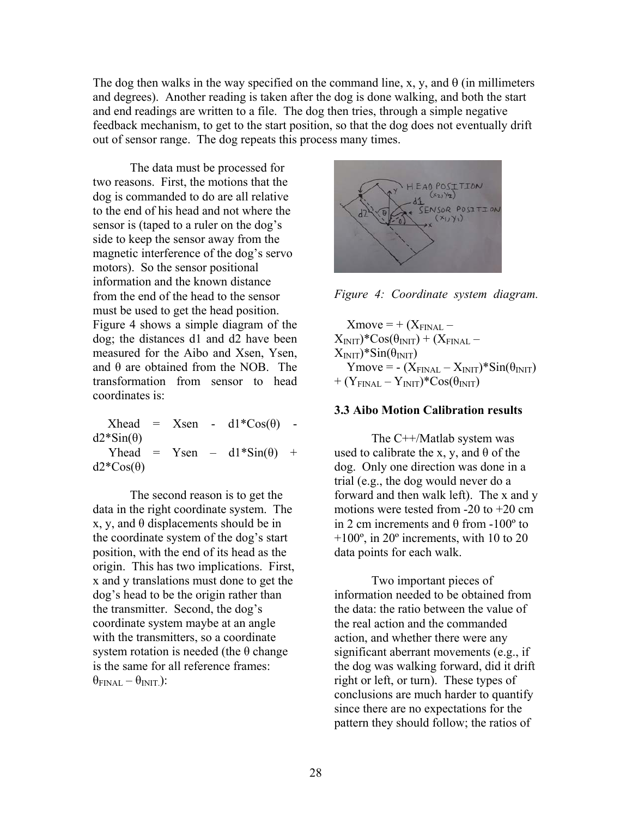The dog then walks in the way specified on the command line, x, y, and  $\theta$  (in millimeters and degrees). Another reading is taken after the dog is done walking, and both the start and end readings are written to a file. The dog then tries, through a simple negative feedback mechanism, to get to the start position, so that the dog does not eventually drift out of sensor range. The dog repeats this process many times.

The data must be processed for two reasons. First, the motions that the dog is commanded to do are all relative to the end of his head and not where the sensor is (taped to a ruler on the dog's side to keep the sensor away from the magnetic interference of the dog's servo motors). So the sensor positional information and the known distance from the end of the head to the sensor must be used to get the head position. Figure 4 shows a simple diagram of the dog; the distances d1 and d2 have been measured for the Aibo and Xsen, Ysen, and  $\theta$  are obtained from the NOB. The transformation from sensor to head coordinates is:

|                  |  | $Xhead = Xsen - d1*Cos(\theta) -$ |  |
|------------------|--|-----------------------------------|--|
| $d2*Sin(\theta)$ |  |                                   |  |
|                  |  | Yhead = Ysen - $d1*Sin(\theta)$ + |  |
| $d2*Cos(\theta)$ |  |                                   |  |

The second reason is to get the data in the right coordinate system. The x, y, and  $\theta$  displacements should be in the coordinate system of the dog's start position, with the end of its head as the origin. This has two implications. First, x and y translations must done to get the dog's head to be the origin rather than the transmitter. Second, the dog's coordinate system maybe at an angle with the transmitters, so a coordinate system rotation is needed (the  $\theta$  change is the same for all reference frames:  $\theta_{\text{FINAL}} - \theta_{\text{INIT}}$ ):



*Figure 4: Coordinate system diagram.*

 $Xmove = + (X<sub>FINAL</sub> X_{\text{INIT}}$ )\* $\cos(\theta_{\text{INIT}})$  + ( $X_{\text{FINAL}}$  –  $X<sub>INIT</sub>$ )\*Sin( $\theta<sub>INIT</sub>$ )  $Ymove = - (X<sub>FINAL</sub> - X<sub>INIT</sub>) * Sin(\theta<sub>INIT</sub>)$  $+ (Y<sub>FINAL</sub> - Y<sub>INIT</sub>) * Cos(\theta<sub>INIT</sub>)$ 

### **3.3 Aibo Motion Calibration results**

The C++/Matlab system was used to calibrate the x, y, and  $\theta$  of the dog. Only one direction was done in a trial (e.g., the dog would never do a forward and then walk left). The x and y motions were tested from -20 to +20 cm in 2 cm increments and θ from -100º to  $+100^\circ$ , in 20 $^\circ$  increments, with 10 to 20 data points for each walk.

 Two important pieces of information needed to be obtained from the data: the ratio between the value of the real action and the commanded action, and whether there were any significant aberrant movements (e.g., if the dog was walking forward, did it drift right or left, or turn). These types of conclusions are much harder to quantify since there are no expectations for the pattern they should follow; the ratios of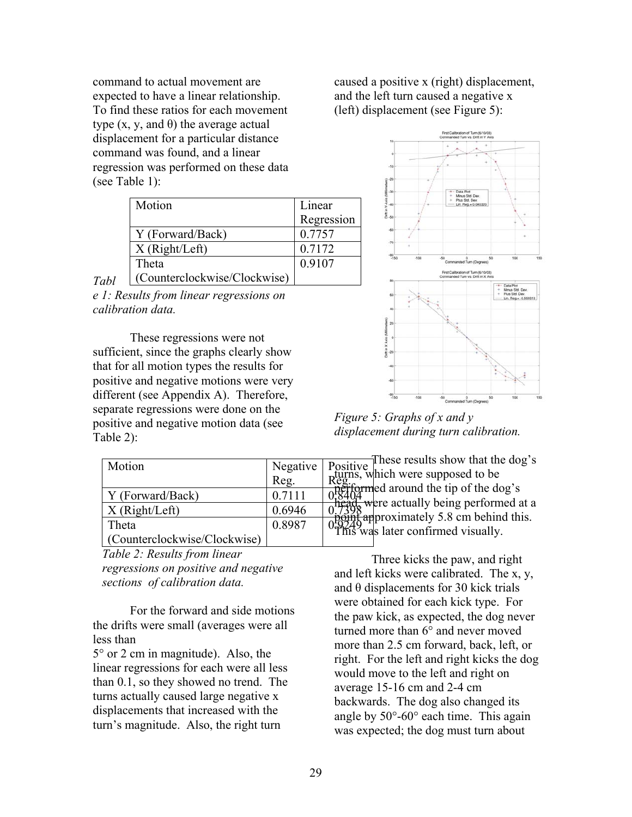command to actual movement are expected to have a linear relationship. To find these ratios for each movement type  $(x, y, and θ)$  the average actual displacement for a particular distance command was found, and a linear regression was performed on these data (see Table 1):

|      | Motion                       | Linear     |
|------|------------------------------|------------|
|      |                              | Regression |
|      | Y (Forward/Back)             | 0.7757     |
|      | X(Right/Left)                | 0.7172     |
|      | Theta                        | 0.9107     |
| Tabl | (Counterclockwise/Clockwise) |            |

*e 1: Results from linear regressions on calibration data.* 

These regressions were not sufficient, since the graphs clearly show that for all motion types the results for positive and negative motions were very different (see Appendix A). Therefore, separate regressions were done on the positive and negative motion data (see Table 2):

| Motion                                |        | Regative Positive linese results show that .<br>Seg. Registers, which were supposed to be<br>$\frac{1}{1}$ of $\frac{1}{1}$ of $\frac{1}{1}$ of $\frac{1}{1}$ of $\frac{1}{1}$ of $\frac{1}{1}$ of $\frac{1}{1}$ of $\frac{1}{1}$ of $\frac{1}{1}$ of $\frac{1}{1}$ of $\$ |
|---------------------------------------|--------|----------------------------------------------------------------------------------------------------------------------------------------------------------------------------------------------------------------------------------------------------------------------------|
| Y (Forward/Back)<br>X(Right/Left)     |        |                                                                                                                                                                                                                                                                            |
| Theta<br>(Counterclockwise/Clockwise) | 0.8987 | $\frac{0.7388}{0.0014}$ approximately 5.8 cm behind this.<br>$\frac{0.7498}{0.0014}$ was later confirmed visually.                                                                                                                                                         |

*Table 2: Results from linear regressions on positive and negative sections of calibration data.*

 For the forward and side motions the drifts were small (averages were all less than

5° or 2 cm in magnitude). Also, the linear regressions for each were all less than 0.1, so they showed no trend. The turns actually caused large negative x displacements that increased with the turn's magnitude. Also, the right turn

caused a positive x (right) displacement, and the left turn caused a negative x (left) displacement (see Figure 5):



*Figure 5: Graphs of x and y displacement during turn calibration.* 

head, were actually being performed at a  $\frac{1}{20}$   $\frac{1}{20}$  approximately 5.8 cm behind this.

 Three kicks the paw, and right and left kicks were calibrated. The x, y, and θ displacements for 30 kick trials were obtained for each kick type. For the paw kick, as expected, the dog never turned more than 6° and never moved more than 2.5 cm forward, back, left, or right. For the left and right kicks the dog would move to the left and right on average 15-16 cm and 2-4 cm backwards. The dog also changed its angle by 50°-60° each time. This again was expected; the dog must turn about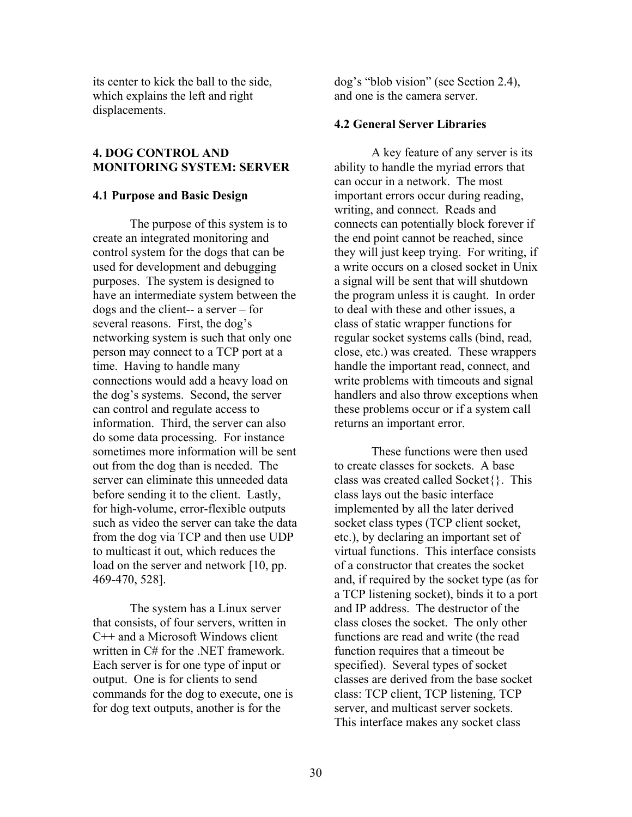its center to kick the ball to the side, which explains the left and right displacements.

## **4. DOG CONTROL AND MONITORING SYSTEM: SERVER**

#### **4.1 Purpose and Basic Design**

The purpose of this system is to create an integrated monitoring and control system for the dogs that can be used for development and debugging purposes. The system is designed to have an intermediate system between the dogs and the client-- a server – for several reasons. First, the dog's networking system is such that only one person may connect to a TCP port at a time. Having to handle many connections would add a heavy load on the dog's systems. Second, the server can control and regulate access to information. Third, the server can also do some data processing. For instance sometimes more information will be sent out from the dog than is needed. The server can eliminate this unneeded data before sending it to the client. Lastly, for high-volume, error-flexible outputs such as video the server can take the data from the dog via TCP and then use UDP to multicast it out, which reduces the load on the server and network [10, pp. 469-470, 528].

 The system has a Linux server that consists, of four servers, written in C++ and a Microsoft Windows client written in C# for the .NET framework. Each server is for one type of input or output. One is for clients to send commands for the dog to execute, one is for dog text outputs, another is for the

dog's "blob vision" (see Section 2.4), and one is the camera server.

#### **4.2 General Server Libraries**

A key feature of any server is its ability to handle the myriad errors that can occur in a network. The most important errors occur during reading, writing, and connect. Reads and connects can potentially block forever if the end point cannot be reached, since they will just keep trying. For writing, if a write occurs on a closed socket in Unix a signal will be sent that will shutdown the program unless it is caught. In order to deal with these and other issues, a class of static wrapper functions for regular socket systems calls (bind, read, close, etc.) was created. These wrappers handle the important read, connect, and write problems with timeouts and signal handlers and also throw exceptions when these problems occur or if a system call returns an important error.

 These functions were then used to create classes for sockets. A base class was created called Socket{}. This class lays out the basic interface implemented by all the later derived socket class types (TCP client socket, etc.), by declaring an important set of virtual functions. This interface consists of a constructor that creates the socket and, if required by the socket type (as for a TCP listening socket), binds it to a port and IP address. The destructor of the class closes the socket. The only other functions are read and write (the read function requires that a timeout be specified). Several types of socket classes are derived from the base socket class: TCP client, TCP listening, TCP server, and multicast server sockets. This interface makes any socket class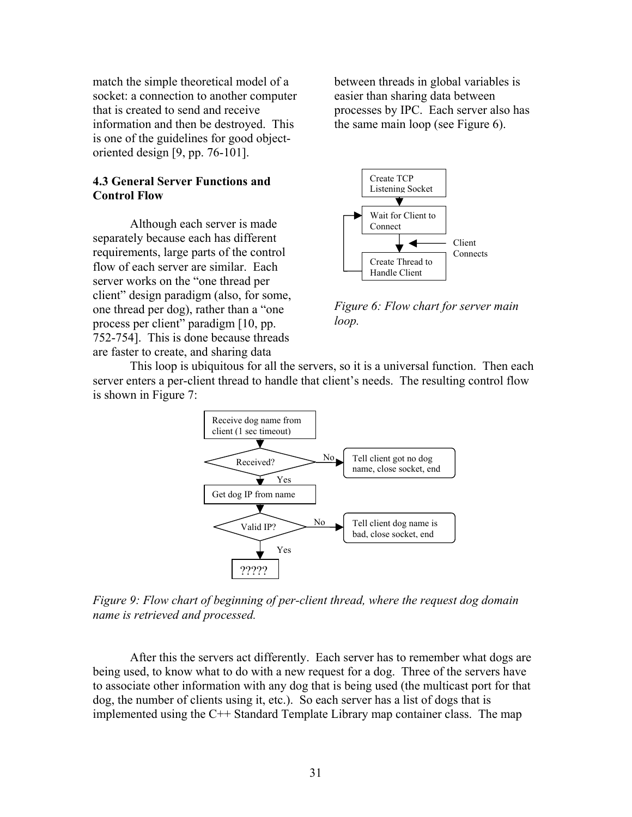match the simple theoretical model of a socket: a connection to another computer that is created to send and receive information and then be destroyed. This is one of the guidelines for good objectoriented design [9, pp. 76-101].

# **4.3 General Server Functions and Control Flow**

Although each server is made separately because each has different requirements, large parts of the control flow of each server are similar. Each server works on the "one thread per client" design paradigm (also, for some, one thread per dog), rather than a "one process per client" paradigm [10, pp. 752-754]. This is done because threads are faster to create, and sharing data

between threads in global variables is easier than sharing data between processes by IPC. Each server also has the same main loop (see Figure 6).



*Figure 6: Flow chart for server main loop.* 

This loop is ubiquitous for all the servers, so it is a universal function. Then each server enters a per-client thread to handle that client's needs. The resulting control flow is shown in Figure 7:



*Figure 9: Flow chart of beginning of per-client thread, where the request dog domain name is retrieved and processed.* 

After this the servers act differently. Each server has to remember what dogs are being used, to know what to do with a new request for a dog. Three of the servers have to associate other information with any dog that is being used (the multicast port for that dog, the number of clients using it, etc.). So each server has a list of dogs that is implemented using the C++ Standard Template Library map container class. The map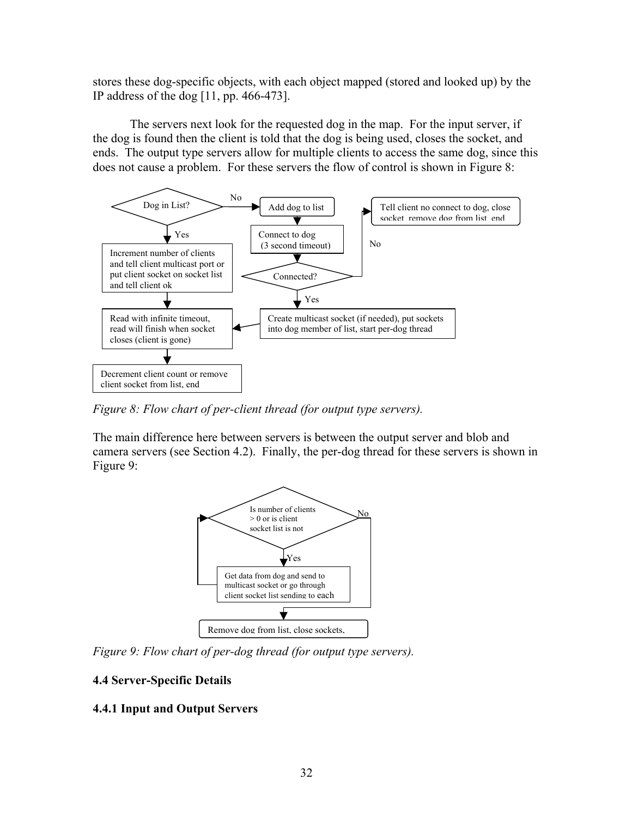stores these dog-specific objects, with each object mapped (stored and looked up) by the IP address of the dog [11, pp. 466-473].

 The servers next look for the requested dog in the map. For the input server, if the dog is found then the client is told that the dog is being used, closes the socket, and ends. The output type servers allow for multiple clients to access the same dog, since this does not cause a problem. For these servers the flow of control is shown in Figure 8:



*Figure 8: Flow chart of per-client thread (for output type servers).* 

The main difference here between servers is between the output server and blob and camera servers (see Section 4.2). Finally, the per-dog thread for these servers is shown in Figure 9:



*Figure 9: Flow chart of per-dog thread (for output type servers).* 

# **4.4 Server-Specific Details**

# **4.4.1 Input and Output Servers**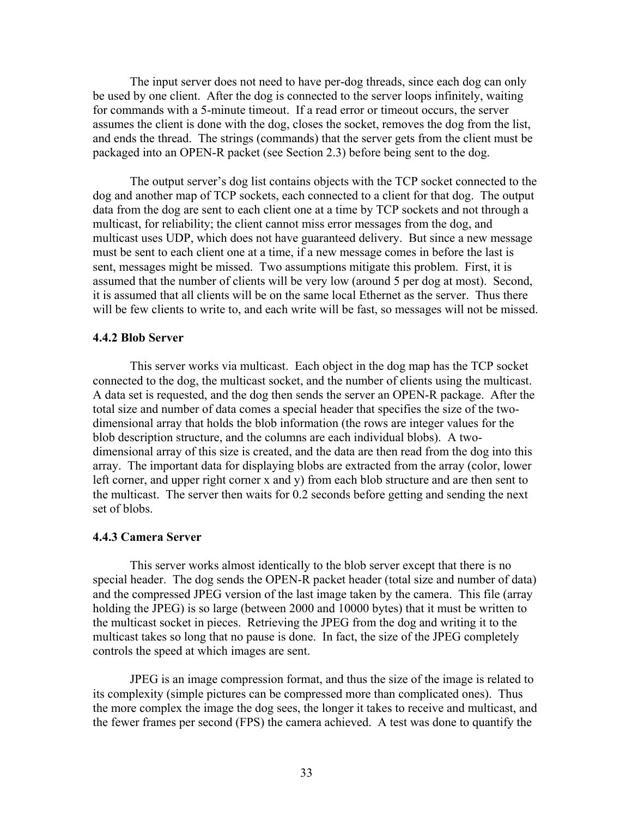The input server does not need to have per-dog threads, since each dog can only be used by one client. After the dog is connected to the server loops infinitely, waiting for commands with a 5-minute timeout. If a read error or timeout occurs, the server assumes the client is done with the dog, closes the socket, removes the dog from the list, and ends the thread. The strings (commands) that the server gets from the client must be packaged into an OPEN-R packet (see Section 2.3) before being sent to the dog.

 The output server's dog list contains objects with the TCP socket connected to the dog and another map of TCP sockets, each connected to a client for that dog. The output data from the dog are sent to each client one at a time by TCP sockets and not through a multicast, for reliability; the client cannot miss error messages from the dog, and multicast uses UDP, which does not have guaranteed delivery. But since a new message must be sent to each client one at a time, if a new message comes in before the last is sent, messages might be missed. Two assumptions mitigate this problem. First, it is assumed that the number of clients will be very low (around 5 per dog at most). Second, it is assumed that all clients will be on the same local Ethernet as the server. Thus there will be few clients to write to, and each write will be fast, so messages will not be missed.

#### **4.4.2 Blob Server**

This server works via multicast. Each object in the dog map has the TCP socket connected to the dog, the multicast socket, and the number of clients using the multicast. A data set is requested, and the dog then sends the server an OPEN-R package. After the total size and number of data comes a special header that specifies the size of the twodimensional array that holds the blob information (the rows are integer values for the blob description structure, and the columns are each individual blobs). A twodimensional array of this size is created, and the data are then read from the dog into this array. The important data for displaying blobs are extracted from the array (color, lower left corner, and upper right corner x and y) from each blob structure and are then sent to the multicast. The server then waits for 0.2 seconds before getting and sending the next set of blobs.

#### **4.4.3 Camera Server**

This server works almost identically to the blob server except that there is no special header. The dog sends the OPEN-R packet header (total size and number of data) and the compressed JPEG version of the last image taken by the camera. This file (array holding the JPEG) is so large (between 2000 and 10000 bytes) that it must be written to the multicast socket in pieces. Retrieving the JPEG from the dog and writing it to the multicast takes so long that no pause is done. In fact, the size of the JPEG completely controls the speed at which images are sent.

 JPEG is an image compression format, and thus the size of the image is related to its complexity (simple pictures can be compressed more than complicated ones). Thus the more complex the image the dog sees, the longer it takes to receive and multicast, and the fewer frames per second (FPS) the camera achieved. A test was done to quantify the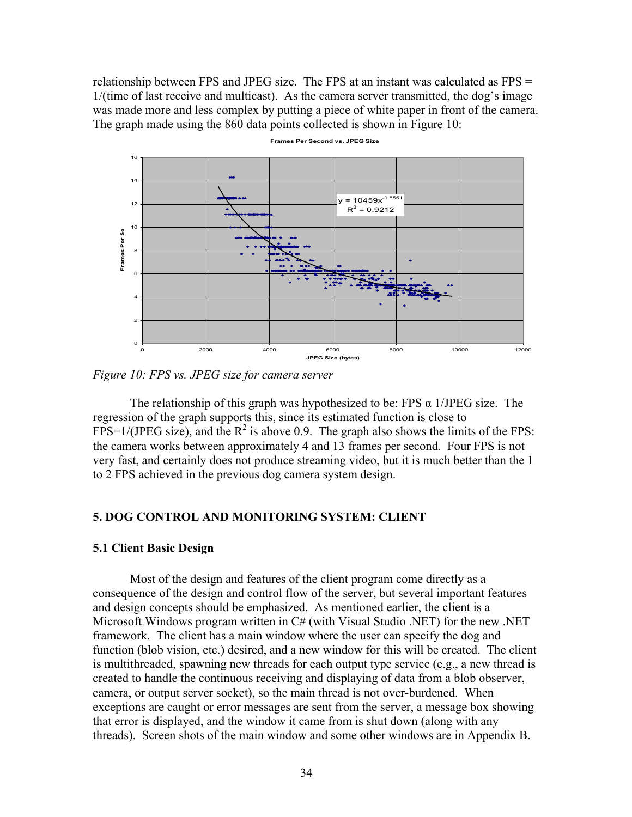relationship between FPS and JPEG size. The FPS at an instant was calculated as FPS = 1/(time of last receive and multicast). As the camera server transmitted, the dog's image was made more and less complex by putting a piece of white paper in front of the camera. The graph made using the 860 data points collected is shown in Figure 10:



**Frames Per Second vs. JPEG Size**

*Figure 10: FPS vs. JPEG size for camera server* 

The relationship of this graph was hypothesized to be: FPS  $\alpha$  1/JPEG size. The regression of the graph supports this, since its estimated function is close to FPS=1/(JPEG size), and the  $R^2$  is above 0.9. The graph also shows the limits of the FPS: the camera works between approximately 4 and 13 frames per second. Four FPS is not very fast, and certainly does not produce streaming video, but it is much better than the 1 to 2 FPS achieved in the previous dog camera system design.

## **5. DOG CONTROL AND MONITORING SYSTEM: CLIENT**

#### **5.1 Client Basic Design**

Most of the design and features of the client program come directly as a consequence of the design and control flow of the server, but several important features and design concepts should be emphasized. As mentioned earlier, the client is a Microsoft Windows program written in C# (with Visual Studio .NET) for the new .NET framework. The client has a main window where the user can specify the dog and function (blob vision, etc.) desired, and a new window for this will be created. The client is multithreaded, spawning new threads for each output type service (e.g., a new thread is created to handle the continuous receiving and displaying of data from a blob observer, camera, or output server socket), so the main thread is not over-burdened. When exceptions are caught or error messages are sent from the server, a message box showing that error is displayed, and the window it came from is shut down (along with any threads). Screen shots of the main window and some other windows are in Appendix B.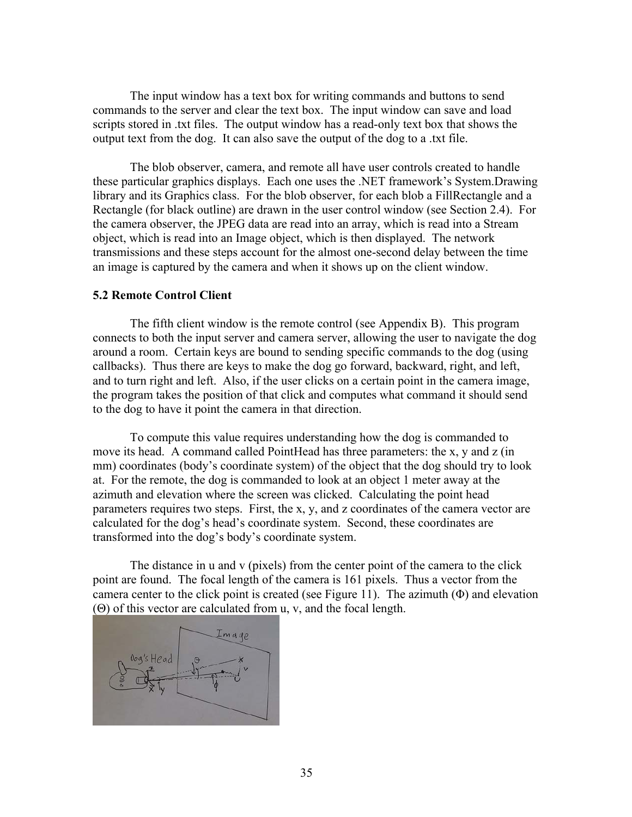The input window has a text box for writing commands and buttons to send commands to the server and clear the text box. The input window can save and load scripts stored in .txt files. The output window has a read-only text box that shows the output text from the dog. It can also save the output of the dog to a .txt file.

 The blob observer, camera, and remote all have user controls created to handle these particular graphics displays. Each one uses the .NET framework's System.Drawing library and its Graphics class. For the blob observer, for each blob a FillRectangle and a Rectangle (for black outline) are drawn in the user control window (see Section 2.4). For the camera observer, the JPEG data are read into an array, which is read into a Stream object, which is read into an Image object, which is then displayed. The network transmissions and these steps account for the almost one-second delay between the time an image is captured by the camera and when it shows up on the client window.

### **5.2 Remote Control Client**

The fifth client window is the remote control (see Appendix B). This program connects to both the input server and camera server, allowing the user to navigate the dog around a room. Certain keys are bound to sending specific commands to the dog (using callbacks). Thus there are keys to make the dog go forward, backward, right, and left, and to turn right and left. Also, if the user clicks on a certain point in the camera image, the program takes the position of that click and computes what command it should send to the dog to have it point the camera in that direction.

 To compute this value requires understanding how the dog is commanded to move its head. A command called PointHead has three parameters: the x, y and z (in mm) coordinates (body's coordinate system) of the object that the dog should try to look at. For the remote, the dog is commanded to look at an object 1 meter away at the azimuth and elevation where the screen was clicked. Calculating the point head parameters requires two steps. First, the x, y, and z coordinates of the camera vector are calculated for the dog's head's coordinate system. Second, these coordinates are transformed into the dog's body's coordinate system.

The distance in u and v (pixels) from the center point of the camera to the click point are found. The focal length of the camera is 161 pixels. Thus a vector from the camera center to the click point is created (see Figure 11). The azimuth  $(\Phi)$  and elevation (Θ) of this vector are calculated from u, v, and the focal length.

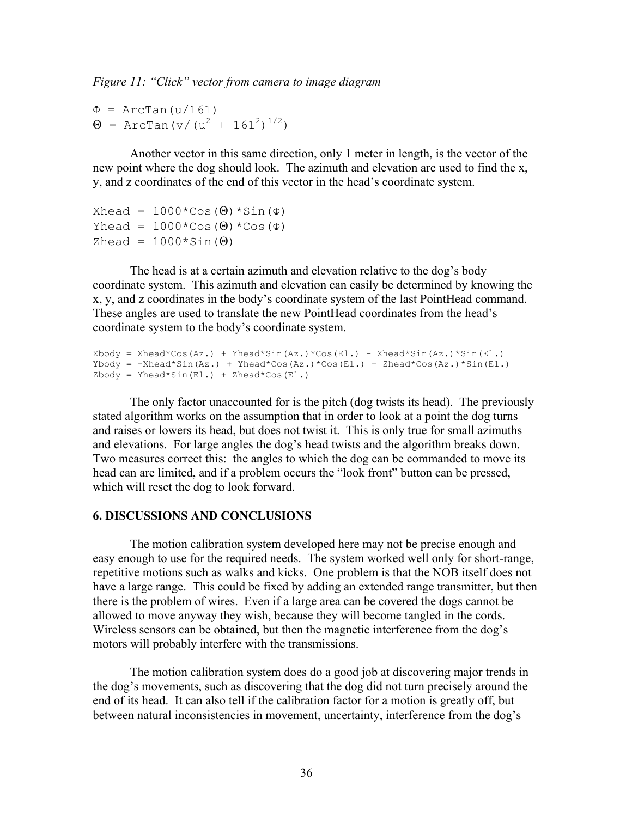*Figure 11: "Click" vector from camera to image diagram* 

 $\Phi$  = ArcTan(u/161)  $Θ = ArcTan (v/(u<sup>2</sup> + 161<sup>2</sup>)<sup>1/2</sup>)$ 

Another vector in this same direction, only 1 meter in length, is the vector of the new point where the dog should look. The azimuth and elevation are used to find the x, y, and z coordinates of the end of this vector in the head's coordinate system.

```
Xhead = 1000*Cos(\Theta) *Sin(\Phi)Yhead = 1000*Cos(\Theta)*Cos(\Phi)Zhead = 1000*sin(\Theta)
```
The head is at a certain azimuth and elevation relative to the dog's body coordinate system. This azimuth and elevation can easily be determined by knowing the x, y, and z coordinates in the body's coordinate system of the last PointHead command. These angles are used to translate the new PointHead coordinates from the head's coordinate system to the body's coordinate system.

```
Xbody = Xhead*Cos(Az.) + Yhead*Sin(Az.)*Cos(El.) - Xhead*Sin(Az.)*Sin(El.)Ybody = -Xhead * Sin(Az.) + Yhead * Cos(El.) - Zhead * Cos(Az.) *Sin(El.)Zbody = Yhead*Sin(E1.) + Zhead*Cos(E1.)
```
The only factor unaccounted for is the pitch (dog twists its head). The previously stated algorithm works on the assumption that in order to look at a point the dog turns and raises or lowers its head, but does not twist it. This is only true for small azimuths and elevations. For large angles the dog's head twists and the algorithm breaks down. Two measures correct this: the angles to which the dog can be commanded to move its head can are limited, and if a problem occurs the "look front" button can be pressed, which will reset the dog to look forward.

## **6. DISCUSSIONS AND CONCLUSIONS**

The motion calibration system developed here may not be precise enough and easy enough to use for the required needs. The system worked well only for short-range, repetitive motions such as walks and kicks. One problem is that the NOB itself does not have a large range. This could be fixed by adding an extended range transmitter, but then there is the problem of wires. Even if a large area can be covered the dogs cannot be allowed to move anyway they wish, because they will become tangled in the cords. Wireless sensors can be obtained, but then the magnetic interference from the dog's motors will probably interfere with the transmissions.

The motion calibration system does do a good job at discovering major trends in the dog's movements, such as discovering that the dog did not turn precisely around the end of its head. It can also tell if the calibration factor for a motion is greatly off, but between natural inconsistencies in movement, uncertainty, interference from the dog's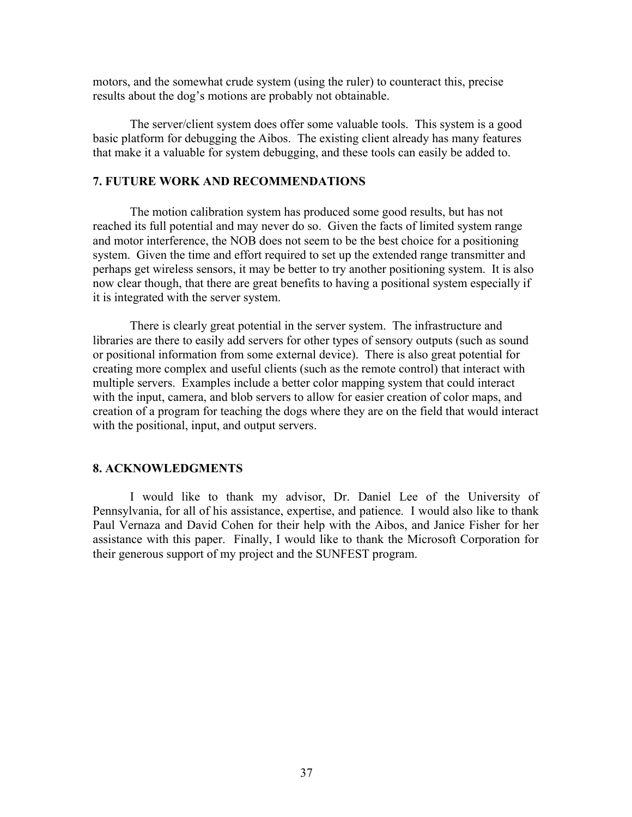motors, and the somewhat crude system (using the ruler) to counteract this, precise results about the dog's motions are probably not obtainable.

The server/client system does offer some valuable tools. This system is a good basic platform for debugging the Aibos. The existing client already has many features that make it a valuable for system debugging, and these tools can easily be added to.

# **7. FUTURE WORK AND RECOMMENDATIONS**

The motion calibration system has produced some good results, but has not reached its full potential and may never do so. Given the facts of limited system range and motor interference, the NOB does not seem to be the best choice for a positioning system. Given the time and effort required to set up the extended range transmitter and perhaps get wireless sensors, it may be better to try another positioning system. It is also now clear though, that there are great benefits to having a positional system especially if it is integrated with the server system.

There is clearly great potential in the server system. The infrastructure and libraries are there to easily add servers for other types of sensory outputs (such as sound or positional information from some external device). There is also great potential for creating more complex and useful clients (such as the remote control) that interact with multiple servers. Examples include a better color mapping system that could interact with the input, camera, and blob servers to allow for easier creation of color maps, and creation of a program for teaching the dogs where they are on the field that would interact with the positional, input, and output servers.

#### **8. ACKNOWLEDGMENTS**

I would like to thank my advisor, Dr. Daniel Lee of the University of Pennsylvania, for all of his assistance, expertise, and patience. I would also like to thank Paul Vernaza and David Cohen for their help with the Aibos, and Janice Fisher for her assistance with this paper. Finally, I would like to thank the Microsoft Corporation for their generous support of my project and the SUNFEST program.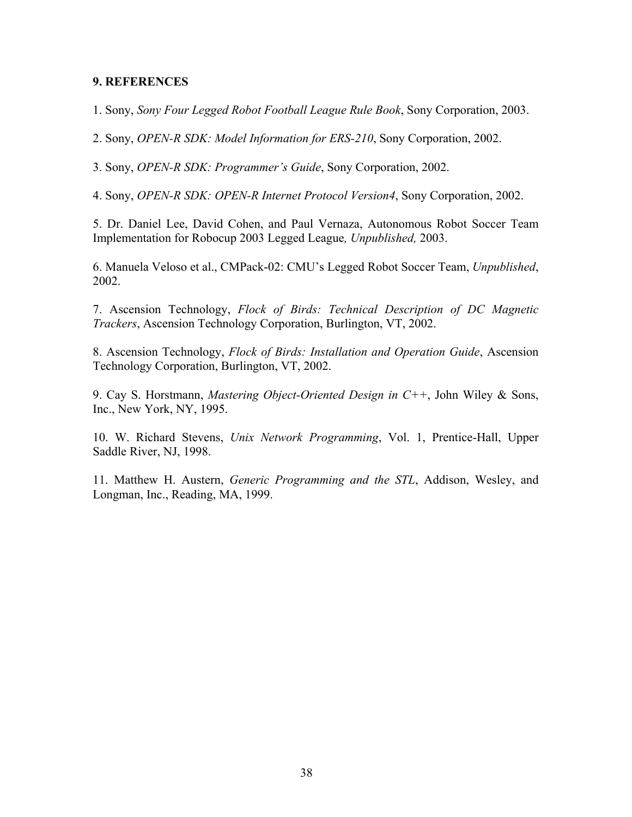## **9. REFERENCES**

1. Sony, *Sony Four Legged Robot Football League Rule Book*, Sony Corporation, 2003.

2. Sony, *OPEN-R SDK: Model Information for ERS-210*, Sony Corporation, 2002.

3. Sony, *OPEN-R SDK: Programmer's Guide*, Sony Corporation, 2002.

4. Sony, *OPEN-R SDK: OPEN-R Internet Protocol Version4*, Sony Corporation, 2002.

5. Dr. Daniel Lee, David Cohen, and Paul Vernaza, Autonomous Robot Soccer Team Implementation for Robocup 2003 Legged League*, Unpublished,* 2003.

6. Manuela Veloso et al., CMPack-02: CMU's Legged Robot Soccer Team, *Unpublished*, 2002.

7. Ascension Technology, *Flock of Birds: Technical Description of DC Magnetic Trackers*, Ascension Technology Corporation, Burlington, VT, 2002.

8. Ascension Technology, *Flock of Birds: Installation and Operation Guide*, Ascension Technology Corporation, Burlington, VT, 2002.

9. Cay S. Horstmann, *Mastering Object-Oriented Design in C++*, John Wiley & Sons, Inc., New York, NY, 1995.

10. W. Richard Stevens, *Unix Network Programming*, Vol. 1, Prentice-Hall, Upper Saddle River, NJ, 1998.

11. Matthew H. Austern, *Generic Programming and the STL*, Addison, Wesley, and Longman, Inc., Reading, MA, 1999.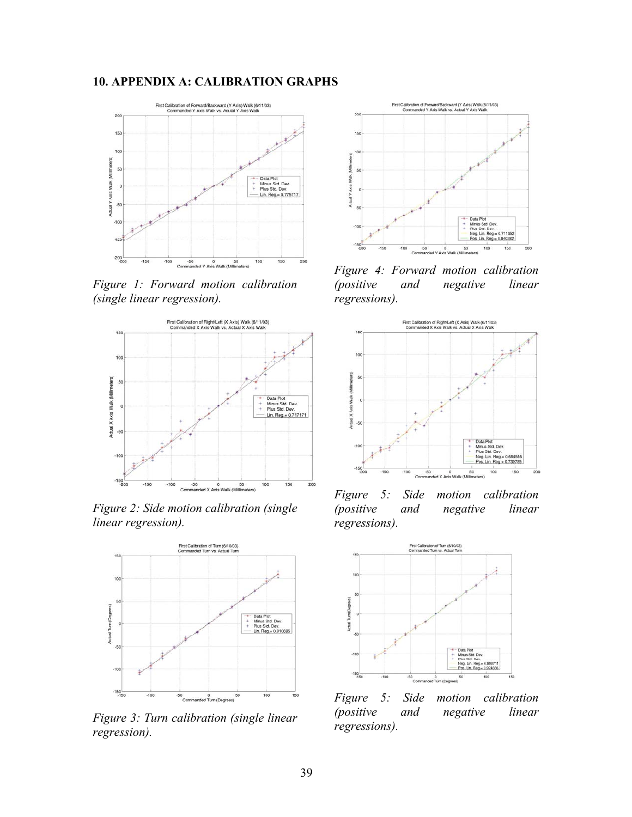# **10. APPENDIX A: CALIBRATION GRAPHS**



*Figure 1: Forward motion calibration (single linear regression).* 



*Figure 2: Side motion calibration (single linear regression).* 



*Figure 3: Turn calibration (single linear regression).* 



*Figure 4: Forward motion calibration (positive and negative linear regressions).* 



*Figure 5: Side motion calibration (positive and negative linear regressions).* 



*Figure 5: Side motion calibration (positive and negative linear regressions).*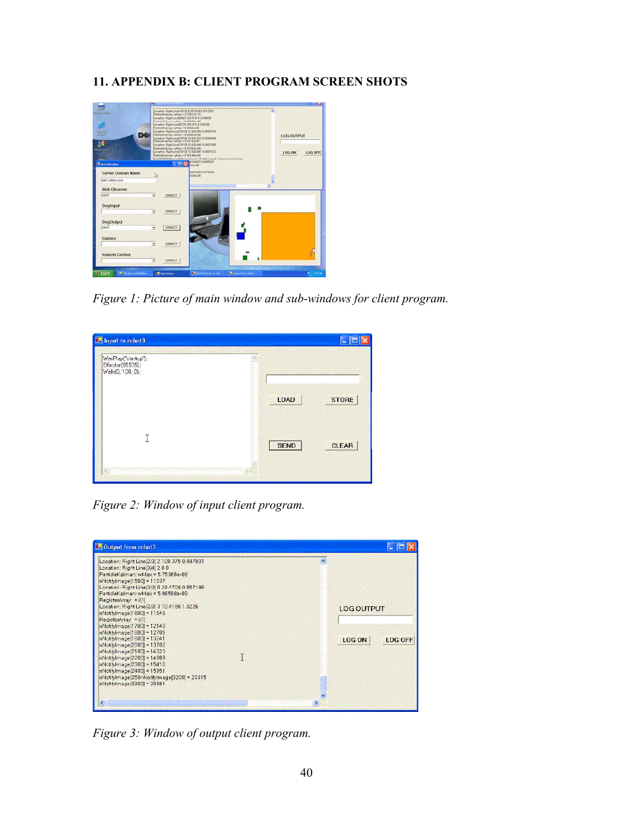# **11. APPENDIX B: CLIENT PROGRAM SCREEN SHOTS**



*Figure 1: Picture of main window and sub-windows for client program.* 

| WavPlay("startup");<br>Effector(65535);<br>Walk(0, 100, 0); |             |              |
|-------------------------------------------------------------|-------------|--------------|
|                                                             | LOAD        | <b>STORE</b> |
| I                                                           | <b>SEND</b> | <b>CLEAR</b> |

*Figure 2: Window of input client program.* 



*Figure 3: Window of output client program.*